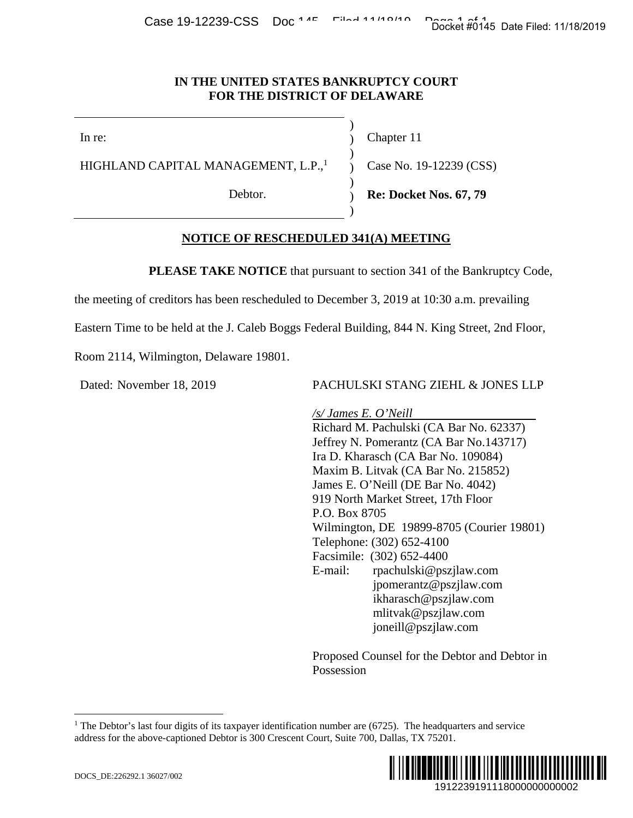#### **IN THE UNITED STATES BANKRUPTCY COURT FOR THE DISTRICT OF DELAWARE**

In re:

HIGHLAND CAPITAL MANAGEMENT, L.P.,<sup>1</sup>

Debtor.

Chapter 11

Case No. 19-12239 (CSS)

**Re: Docket Nos. 67, 79** 

## **NOTICE OF RESCHEDULED 341(A) MEETING**

**PLEASE TAKE NOTICE** that pursuant to section 341 of the Bankruptcy Code,

) ) )  $\mathcal{L}$ ) ) )

the meeting of creditors has been rescheduled to December 3, 2019 at 10:30 a.m. prevailing

Eastern Time to be held at the J. Caleb Boggs Federal Building, 844 N. King Street, 2nd Floor,

Room 2114, Wilmington, Delaware 19801.

Dated: November 18, 2019 PACHULSKI STANG ZIEHL & JONES LLP

*/s/ James E. O'Neill*  Richard M. Pachulski (CA Bar No. 62337) Jeffrey N. Pomerantz (CA Bar No.143717) Ira D. Kharasch (CA Bar No. 109084) Maxim B. Litvak (CA Bar No. 215852) James E. O'Neill (DE Bar No. 4042) 919 North Market Street, 17th Floor P.O. Box 8705 Wilmington, DE 19899-8705 (Courier 19801) Telephone: (302) 652-4100 Facsimile: (302) 652-4400 E-mail: rpachulski@pszjlaw.com jpomerantz@pszjlaw.com ikharasch@pszjlaw.com mlitvak@pszjlaw.com joneill@pszjlaw.com Docket #0145 Date Filed: 11/18/2019<br>
12239 (CSS)<br>
Nos. 67, 79<br>
NG<br>
of the Bankruptcy Code,<br>
0:30 a.m. prevailing<br>
King Street, 2nd Floor,<br>
ZIEHL & JONES LLP<br>
ZA Bar No. 62337)<br>
A Bar No. 109084)<br>
TA Bar No. 143717)<br>
A Bar

Proposed Counsel for the Debtor and Debtor in Possession

<sup>&</sup>lt;sup>1</sup> The Debtor's last four digits of its taxpayer identification number are  $(6725)$ . The headquarters and service address for the above-captioned Debtor is 300 Crescent Court, Suite 700, Dallas, TX 75201.



1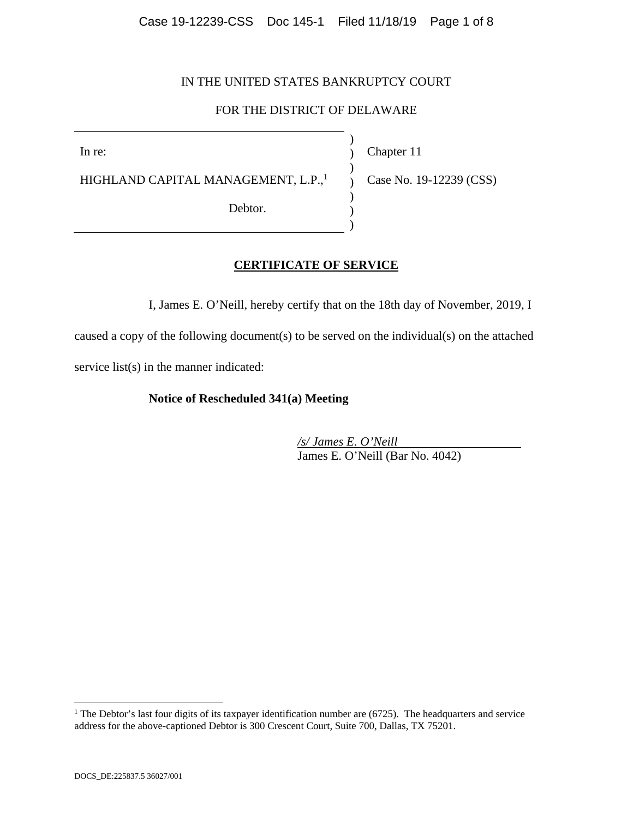## IN THE UNITED STATES BANKRUPTCY COURT

## FOR THE DISTRICT OF DELAWARE

) ) ) ) ) ) )

In re:

Chapter 11

HIGHLAND CAPITAL MANAGEMENT, L.P.,<sup>1</sup>

Debtor.

Case No. 19-12239 (CSS)

### **CERTIFICATE OF SERVICE**

I, James E. O'Neill, hereby certify that on the 18th day of November, 2019, I

caused a copy of the following document(s) to be served on the individual(s) on the attached service list(s) in the manner indicated:

#### **Notice of Rescheduled 341(a) Meeting**

*/s/ James E. O'Neill*  James E. O'Neill (Bar No. 4042)

 $\overline{a}$ 

<sup>&</sup>lt;sup>1</sup> The Debtor's last four digits of its taxpayer identification number are  $(6725)$ . The headquarters and service address for the above-captioned Debtor is 300 Crescent Court, Suite 700, Dallas, TX 75201.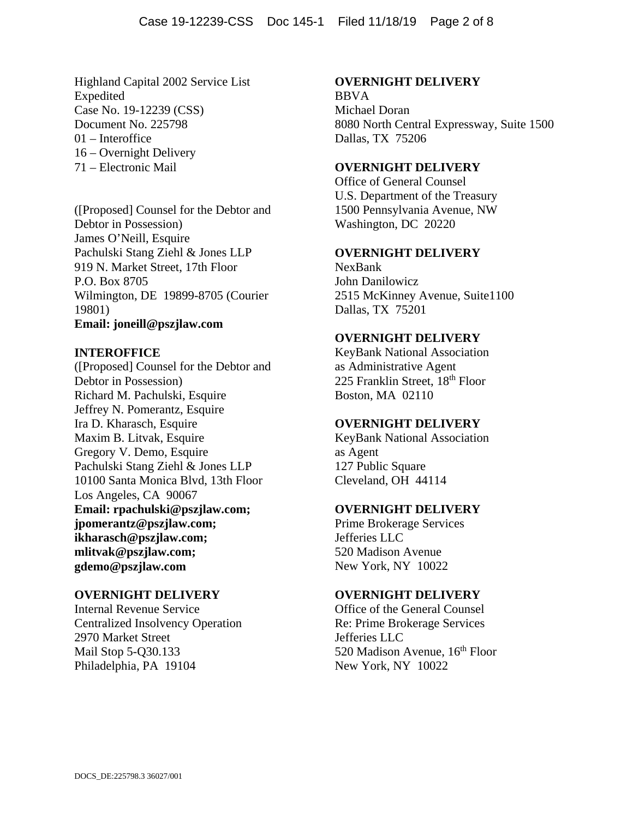Highland Capital 2002 Service List Expedited Case No. 19-12239 (CSS) Document No. 225798 01 – Interoffice 16 – Overnight Delivery 71 – Electronic Mail

([Proposed] Counsel for the Debtor and Debtor in Possession) James O'Neill, Esquire Pachulski Stang Ziehl & Jones LLP 919 N. Market Street, 17th Floor P.O. Box 8705 Wilmington, DE 19899-8705 (Courier 19801) **Email: joneill@pszjlaw.com**

## **INTEROFFICE**

([Proposed] Counsel for the Debtor and Debtor in Possession) Richard M. Pachulski, Esquire Jeffrey N. Pomerantz, Esquire Ira D. Kharasch, Esquire Maxim B. Litvak, Esquire Gregory V. Demo, Esquire Pachulski Stang Ziehl & Jones LLP 10100 Santa Monica Blvd, 13th Floor Los Angeles, CA 90067 **Email: rpachulski@pszjlaw.com; jpomerantz@pszjlaw.com; ikharasch@pszjlaw.com; mlitvak@pszjlaw.com; gdemo@pszjlaw.com**

### **OVERNIGHT DELIVERY**

Internal Revenue Service Centralized Insolvency Operation 2970 Market Street Mail Stop 5-Q30.133 Philadelphia, PA 19104

#### **OVERNIGHT DELIVERY**

BBVA Michael Doran 8080 North Central Expressway, Suite 1500 Dallas, TX 75206

#### **OVERNIGHT DELIVERY**

Office of General Counsel U.S. Department of the Treasury 1500 Pennsylvania Avenue, NW Washington, DC 20220

#### **OVERNIGHT DELIVERY**

NexBank John Danilowicz 2515 McKinney Avenue, Suite1100 Dallas, TX 75201

### **OVERNIGHT DELIVERY**

KeyBank National Association as Administrative Agent 225 Franklin Street, 18th Floor Boston, MA 02110

#### **OVERNIGHT DELIVERY**

KeyBank National Association as Agent 127 Public Square Cleveland, OH 44114

#### **OVERNIGHT DELIVERY**

Prime Brokerage Services Jefferies LLC 520 Madison Avenue New York, NY 10022

#### **OVERNIGHT DELIVERY**

Office of the General Counsel Re: Prime Brokerage Services Jefferies LLC 520 Madison Avenue,  $16<sup>th</sup>$  Floor New York, NY 10022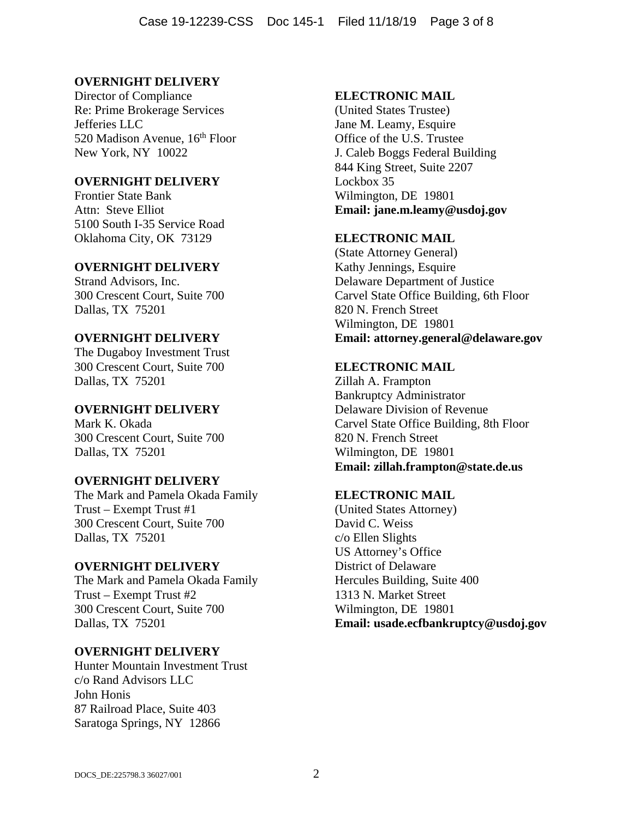### **OVERNIGHT DELIVERY**

Director of Compliance Re: Prime Brokerage Services Jefferies LLC 520 Madison Avenue, 16<sup>th</sup> Floor New York, NY 10022

## **OVERNIGHT DELIVERY**

Frontier State Bank Attn: Steve Elliot 5100 South I-35 Service Road Oklahoma City, OK 73129

### **OVERNIGHT DELIVERY**

Strand Advisors, Inc. 300 Crescent Court, Suite 700 Dallas, TX 75201

## **OVERNIGHT DELIVERY**

The Dugaboy Investment Trust 300 Crescent Court, Suite 700 Dallas, TX 75201

### **OVERNIGHT DELIVERY**

Mark K. Okada 300 Crescent Court, Suite 700 Dallas, TX 75201

### **OVERNIGHT DELIVERY**

The Mark and Pamela Okada Family Trust – Exempt Trust #1 300 Crescent Court, Suite 700 Dallas, TX 75201

#### **OVERNIGHT DELIVERY**

The Mark and Pamela Okada Family Trust – Exempt Trust #2 300 Crescent Court, Suite 700 Dallas, TX 75201

### **OVERNIGHT DELIVERY**

Hunter Mountain Investment Trust c/o Rand Advisors LLC John Honis 87 Railroad Place, Suite 403 Saratoga Springs, NY 12866

#### **ELECTRONIC MAIL**

(United States Trustee) Jane M. Leamy, Esquire Office of the U.S. Trustee J. Caleb Boggs Federal Building 844 King Street, Suite 2207 Lockbox 35 Wilmington, DE 19801 **Email: jane.m.leamy@usdoj.gov** 

### **ELECTRONIC MAIL**

(State Attorney General) Kathy Jennings, Esquire Delaware Department of Justice Carvel State Office Building, 6th Floor 820 N. French Street Wilmington, DE 19801 **Email: attorney.general@delaware.gov**

#### **ELECTRONIC MAIL**

Zillah A. Frampton Bankruptcy Administrator Delaware Division of Revenue Carvel State Office Building, 8th Floor 820 N. French Street Wilmington, DE 19801 **Email: zillah.frampton@state.de.us**

### **ELECTRONIC MAIL**

(United States Attorney) David C. Weiss c/o Ellen Slights US Attorney's Office District of Delaware Hercules Building, Suite 400 1313 N. Market Street Wilmington, DE 19801 **Email: usade.ecfbankruptcy@usdoj.gov**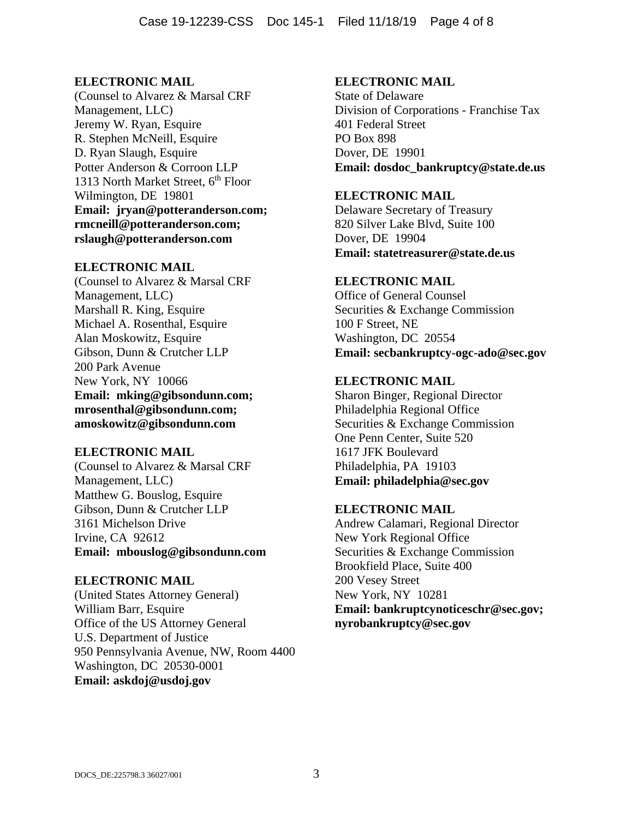(Counsel to Alvarez & Marsal CRF Management, LLC) Jeremy W. Ryan, Esquire R. Stephen McNeill, Esquire D. Ryan Slaugh, Esquire Potter Anderson & Corroon LLP 1313 North Market Street,  $6<sup>th</sup>$  Floor Wilmington, DE 19801 **Email: jryan@potteranderson.com; rmcneill@potteranderson.com; rslaugh@potteranderson.com** 

#### **ELECTRONIC MAIL**

(Counsel to Alvarez & Marsal CRF Management, LLC) Marshall R. King, Esquire Michael A. Rosenthal, Esquire Alan Moskowitz, Esquire Gibson, Dunn & Crutcher LLP 200 Park Avenue New York, NY 10066 **Email: mking@gibsondunn.com; mrosenthal@gibsondunn.com; amoskowitz@gibsondunn.com** 

### **ELECTRONIC MAIL**

(Counsel to Alvarez & Marsal CRF Management, LLC) Matthew G. Bouslog, Esquire Gibson, Dunn & Crutcher LLP 3161 Michelson Drive Irvine, CA 92612 **Email: mbouslog@gibsondunn.com** 

### **ELECTRONIC MAIL**

(United States Attorney General) William Barr, Esquire Office of the US Attorney General U.S. Department of Justice 950 Pennsylvania Avenue, NW, Room 4400 Washington, DC 20530-0001 **Email: askdoj@usdoj.gov**

#### **ELECTRONIC MAIL**

State of Delaware Division of Corporations - Franchise Tax 401 Federal Street PO Box 898 Dover, DE 19901 **Email: dosdoc\_bankruptcy@state.de.us**

# **ELECTRONIC MAIL**

Delaware Secretary of Treasury 820 Silver Lake Blvd, Suite 100 Dover, DE 19904 **Email: statetreasurer@state.de.us**

### **ELECTRONIC MAIL**

Office of General Counsel Securities & Exchange Commission 100 F Street, NE Washington, DC 20554 **Email: secbankruptcy-ogc-ado@sec.gov**

### **ELECTRONIC MAIL**

Sharon Binger, Regional Director Philadelphia Regional Office Securities & Exchange Commission One Penn Center, Suite 520 1617 JFK Boulevard Philadelphia, PA 19103 **Email: philadelphia@sec.gov**

### **ELECTRONIC MAIL**

Andrew Calamari, Regional Director New York Regional Office Securities & Exchange Commission Brookfield Place, Suite 400 200 Vesey Street New York, NY 10281 **Email: bankruptcynoticeschr@sec.gov; nyrobankruptcy@sec.gov**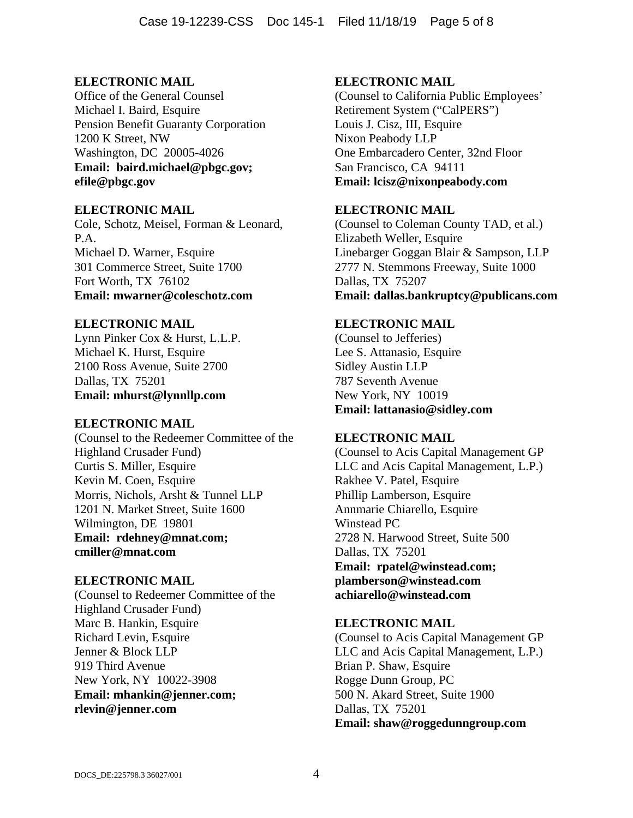Office of the General Counsel Michael I. Baird, Esquire Pension Benefit Guaranty Corporation 1200 K Street, NW Washington, DC 20005-4026 **Email: baird.michael@pbgc.gov; efile@pbgc.gov**

### **ELECTRONIC MAIL**

Cole, Schotz, Meisel, Forman & Leonard, P.A. Michael D. Warner, Esquire 301 Commerce Street, Suite 1700 Fort Worth, TX 76102 **Email: mwarner@coleschotz.com**

# **ELECTRONIC MAIL**

Lynn Pinker Cox & Hurst, L.L.P. Michael K. Hurst, Esquire 2100 Ross Avenue, Suite 2700 Dallas, TX 75201 **Email: mhurst@lynnllp.com**

### **ELECTRONIC MAIL**

(Counsel to the Redeemer Committee of the Highland Crusader Fund) Curtis S. Miller, Esquire Kevin M. Coen, Esquire Morris, Nichols, Arsht & Tunnel LLP 1201 N. Market Street, Suite 1600 Wilmington, DE 19801 **Email: rdehney@mnat.com; cmiller@mnat.com** 

### **ELECTRONIC MAIL**

(Counsel to Redeemer Committee of the Highland Crusader Fund) Marc B. Hankin, Esquire Richard Levin, Esquire Jenner & Block LLP 919 Third Avenue New York, NY 10022-3908 **Email: mhankin@jenner.com; rlevin@jenner.com** 

## **ELECTRONIC MAIL**

(Counsel to California Public Employees' Retirement System ("CalPERS") Louis J. Cisz, III, Esquire Nixon Peabody LLP One Embarcadero Center, 32nd Floor San Francisco, CA 94111 **Email: lcisz@nixonpeabody.com** 

## **ELECTRONIC MAIL**

(Counsel to Coleman County TAD, et al.) Elizabeth Weller, Esquire Linebarger Goggan Blair & Sampson, LLP 2777 N. Stemmons Freeway, Suite 1000 Dallas, TX 75207 **Email: dallas.bankruptcy@publicans.com** 

# **ELECTRONIC MAIL**

(Counsel to Jefferies) Lee S. Attanasio, Esquire Sidley Austin LLP 787 Seventh Avenue New York, NY 10019 **Email: lattanasio@sidley.com** 

# **ELECTRONIC MAIL**

(Counsel to Acis Capital Management GP LLC and Acis Capital Management, L.P.) Rakhee V. Patel, Esquire Phillip Lamberson, Esquire Annmarie Chiarello, Esquire Winstead PC 2728 N. Harwood Street, Suite 500 Dallas, TX 75201 **Email: rpatel@winstead.com; plamberson@winstead.com achiarello@winstead.com**

# **ELECTRONIC MAIL**

(Counsel to Acis Capital Management GP LLC and Acis Capital Management, L.P.) Brian P. Shaw, Esquire Rogge Dunn Group, PC 500 N. Akard Street, Suite 1900 Dallas, TX 75201 **Email: shaw@roggedunngroup.com**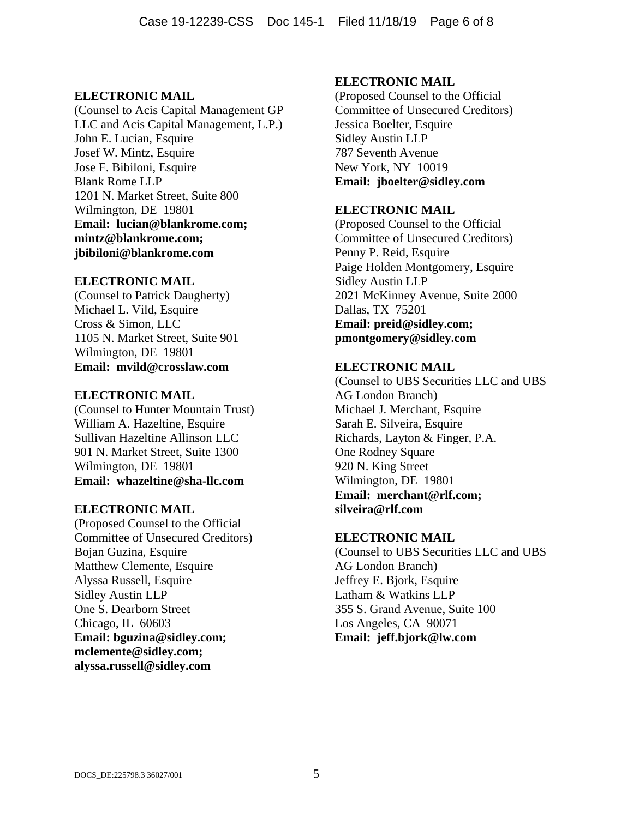(Counsel to Acis Capital Management GP LLC and Acis Capital Management, L.P.) John E. Lucian, Esquire Josef W. Mintz, Esquire Jose F. Bibiloni, Esquire Blank Rome LLP 1201 N. Market Street, Suite 800 Wilmington, DE 19801 **Email: lucian@blankrome.com; mintz@blankrome.com; jbibiloni@blankrome.com** 

#### **ELECTRONIC MAIL**

(Counsel to Patrick Daugherty) Michael L. Vild, Esquire Cross & Simon, LLC 1105 N. Market Street, Suite 901 Wilmington, DE 19801 **Email: mvild@crosslaw.com** 

#### **ELECTRONIC MAIL**

(Counsel to Hunter Mountain Trust) William A. Hazeltine, Esquire Sullivan Hazeltine Allinson LLC 901 N. Market Street, Suite 1300 Wilmington, DE 19801 **Email: whazeltine@sha-llc.com** 

#### **ELECTRONIC MAIL**

(Proposed Counsel to the Official Committee of Unsecured Creditors) Bojan Guzina, Esquire Matthew Clemente, Esquire Alyssa Russell, Esquire Sidley Austin LLP One S. Dearborn Street Chicago, IL 60603 **Email: bguzina@sidley.com; mclemente@sidley.com; alyssa.russell@sidley.com** 

### **ELECTRONIC MAIL**

(Proposed Counsel to the Official Committee of Unsecured Creditors) Jessica Boelter, Esquire Sidley Austin LLP 787 Seventh Avenue New York, NY 10019 **Email: jboelter@sidley.com** 

### **ELECTRONIC MAIL**

(Proposed Counsel to the Official Committee of Unsecured Creditors) Penny P. Reid, Esquire Paige Holden Montgomery, Esquire Sidley Austin LLP 2021 McKinney Avenue, Suite 2000 Dallas, TX 75201 **Email: preid@sidley.com; pmontgomery@sidley.com** 

### **ELECTRONIC MAIL**

(Counsel to UBS Securities LLC and UBS AG London Branch) Michael J. Merchant, Esquire Sarah E. Silveira, Esquire Richards, Layton & Finger, P.A. One Rodney Square 920 N. King Street Wilmington, DE 19801 **Email: merchant@rlf.com; silveira@rlf.com** 

#### **ELECTRONIC MAIL**

(Counsel to UBS Securities LLC and UBS AG London Branch) Jeffrey E. Bjork, Esquire Latham & Watkins LLP 355 S. Grand Avenue, Suite 100 Los Angeles, CA 90071 **Email: jeff.bjork@lw.com**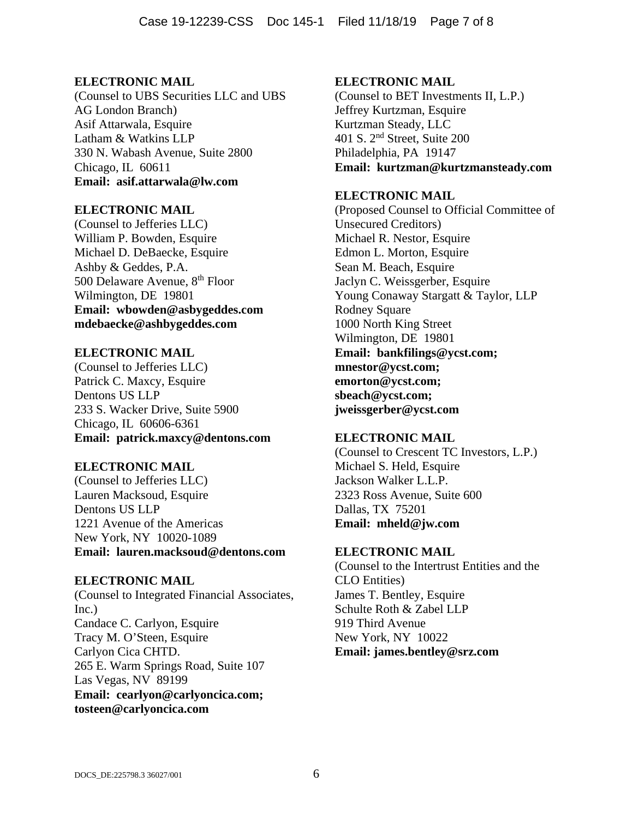(Counsel to UBS Securities LLC and UBS AG London Branch) Asif Attarwala, Esquire Latham & Watkins LLP 330 N. Wabash Avenue, Suite 2800 Chicago, IL 60611 **Email: asif.attarwala@lw.com**

### **ELECTRONIC MAIL**

(Counsel to Jefferies LLC) William P. Bowden, Esquire Michael D. DeBaecke, Esquire Ashby & Geddes, P.A. 500 Delaware Avenue, 8th Floor Wilmington, DE 19801 **Email: wbowden@asbygeddes.com mdebaecke@ashbygeddes.com** 

# **ELECTRONIC MAIL**

(Counsel to Jefferies LLC) Patrick C. Maxcy, Esquire Dentons US LLP 233 S. Wacker Drive, Suite 5900 Chicago, IL 60606-6361 **Email: patrick.maxcy@dentons.com** 

# **ELECTRONIC MAIL**

(Counsel to Jefferies LLC) Lauren Macksoud, Esquire Dentons US LLP 1221 Avenue of the Americas New York, NY 10020-1089 **Email: lauren.macksoud@dentons.com** 

### **ELECTRONIC MAIL**

(Counsel to Integrated Financial Associates, Inc.) Candace C. Carlyon, Esquire Tracy M. O'Steen, Esquire Carlyon Cica CHTD. 265 E. Warm Springs Road, Suite 107 Las Vegas, NV 89199 **Email: cearlyon@carlyoncica.com; tosteen@carlyoncica.com** 

# **ELECTRONIC MAIL**

(Counsel to BET Investments II, L.P.) Jeffrey Kurtzman, Esquire Kurtzman Steady, LLC 401 S. 2nd Street, Suite 200 Philadelphia, PA 19147 **Email: kurtzman@kurtzmansteady.com** 

# **ELECTRONIC MAIL**

(Proposed Counsel to Official Committee of Unsecured Creditors) Michael R. Nestor, Esquire Edmon L. Morton, Esquire Sean M. Beach, Esquire Jaclyn C. Weissgerber, Esquire Young Conaway Stargatt & Taylor, LLP Rodney Square 1000 North King Street Wilmington, DE 19801 **Email: bankfilings@ycst.com; mnestor@ycst.com; emorton@ycst.com; sbeach@ycst.com; jweissgerber@ycst.com** 

# **ELECTRONIC MAIL**

(Counsel to Crescent TC Investors, L.P.) Michael S. Held, Esquire Jackson Walker L.L.P. 2323 Ross Avenue, Suite 600 Dallas, TX 75201 **Email: mheld@jw.com** 

### **ELECTRONIC MAIL**

(Counsel to the Intertrust Entities and the CLO Entities) James T. Bentley, Esquire Schulte Roth & Zabel LLP 919 Third Avenue New York, NY 10022 **Email: james.bentley@srz.com**